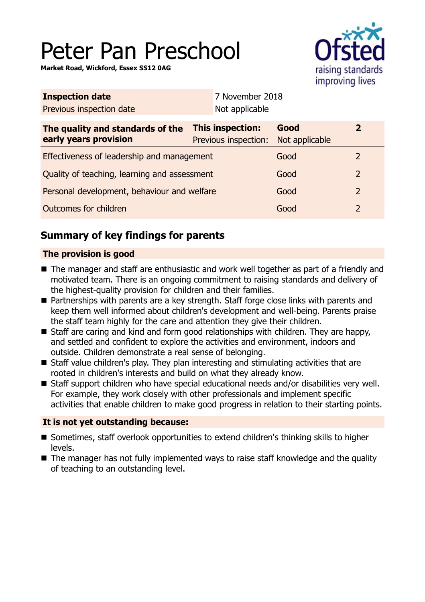# Peter Pan Preschool

**Market Road, Wickford, Essex SS12 0AG**



| <b>This inspection:</b><br>Previous inspection: |  | Good<br>Not applicable | $\overline{2}$  |
|-------------------------------------------------|--|------------------------|-----------------|
| Effectiveness of leadership and management      |  | Good                   | 2               |
| Quality of teaching, learning and assessment    |  | Good                   | $\overline{2}$  |
| Personal development, behaviour and welfare     |  | Good                   | $\overline{2}$  |
|                                                 |  | Good                   | 2               |
|                                                 |  | Not applicable         | 7 November 2018 |

# **Summary of key findings for parents**

## **The provision is good**

- The manager and staff are enthusiastic and work well together as part of a friendly and motivated team. There is an ongoing commitment to raising standards and delivery of the highest-quality provision for children and their families.
- Partnerships with parents are a key strength. Staff forge close links with parents and keep them well informed about children's development and well-being. Parents praise the staff team highly for the care and attention they give their children.
- Staff are caring and kind and form good relationships with children. They are happy, and settled and confident to explore the activities and environment, indoors and outside. Children demonstrate a real sense of belonging.
- Staff value children's play. They plan interesting and stimulating activities that are rooted in children's interests and build on what they already know.
- Staff support children who have special educational needs and/or disabilities very well. For example, they work closely with other professionals and implement specific activities that enable children to make good progress in relation to their starting points.

## **It is not yet outstanding because:**

- Sometimes, staff overlook opportunities to extend children's thinking skills to higher levels.
- $\blacksquare$  The manager has not fully implemented ways to raise staff knowledge and the quality of teaching to an outstanding level.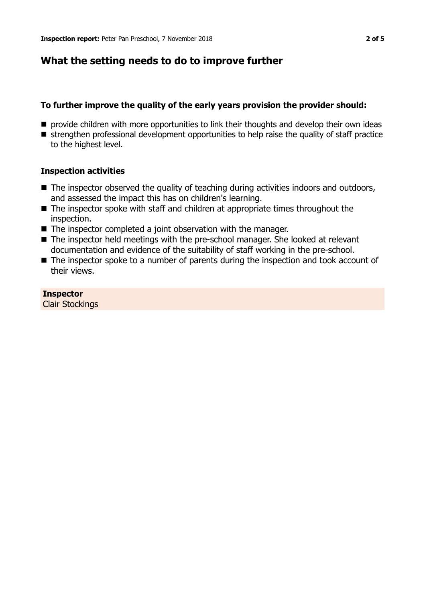# **What the setting needs to do to improve further**

## **To further improve the quality of the early years provision the provider should:**

- $\blacksquare$  provide children with more opportunities to link their thoughts and develop their own ideas
- **n** strengthen professional development opportunities to help raise the quality of staff practice to the highest level.

## **Inspection activities**

- The inspector observed the quality of teaching during activities indoors and outdoors, and assessed the impact this has on children's learning.
- $\blacksquare$  The inspector spoke with staff and children at appropriate times throughout the inspection.
- $\blacksquare$  The inspector completed a joint observation with the manager.
- The inspector held meetings with the pre-school manager. She looked at relevant documentation and evidence of the suitability of staff working in the pre-school.
- $\blacksquare$  The inspector spoke to a number of parents during the inspection and took account of their views.

**Inspector** Clair Stockings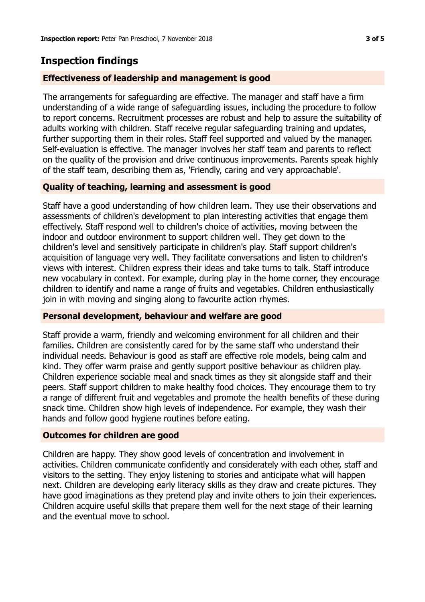# **Inspection findings**

### **Effectiveness of leadership and management is good**

The arrangements for safeguarding are effective. The manager and staff have a firm understanding of a wide range of safeguarding issues, including the procedure to follow to report concerns. Recruitment processes are robust and help to assure the suitability of adults working with children. Staff receive regular safeguarding training and updates, further supporting them in their roles. Staff feel supported and valued by the manager. Self-evaluation is effective. The manager involves her staff team and parents to reflect on the quality of the provision and drive continuous improvements. Parents speak highly of the staff team, describing them as, 'Friendly, caring and very approachable'.

#### **Quality of teaching, learning and assessment is good**

Staff have a good understanding of how children learn. They use their observations and assessments of children's development to plan interesting activities that engage them effectively. Staff respond well to children's choice of activities, moving between the indoor and outdoor environment to support children well. They get down to the children's level and sensitively participate in children's play. Staff support children's acquisition of language very well. They facilitate conversations and listen to children's views with interest. Children express their ideas and take turns to talk. Staff introduce new vocabulary in context. For example, during play in the home corner, they encourage children to identify and name a range of fruits and vegetables. Children enthusiastically join in with moving and singing along to favourite action rhymes.

#### **Personal development, behaviour and welfare are good**

Staff provide a warm, friendly and welcoming environment for all children and their families. Children are consistently cared for by the same staff who understand their individual needs. Behaviour is good as staff are effective role models, being calm and kind. They offer warm praise and gently support positive behaviour as children play. Children experience sociable meal and snack times as they sit alongside staff and their peers. Staff support children to make healthy food choices. They encourage them to try a range of different fruit and vegetables and promote the health benefits of these during snack time. Children show high levels of independence. For example, they wash their hands and follow good hygiene routines before eating.

#### **Outcomes for children are good**

Children are happy. They show good levels of concentration and involvement in activities. Children communicate confidently and considerately with each other, staff and visitors to the setting. They enjoy listening to stories and anticipate what will happen next. Children are developing early literacy skills as they draw and create pictures. They have good imaginations as they pretend play and invite others to join their experiences. Children acquire useful skills that prepare them well for the next stage of their learning and the eventual move to school.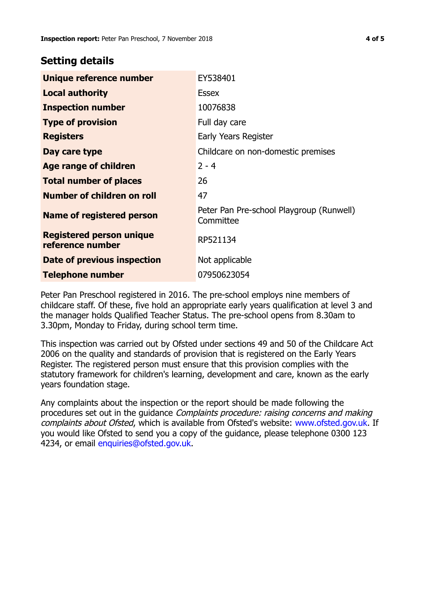# **Setting details**

| Unique reference number                             | EY538401                                              |  |  |
|-----------------------------------------------------|-------------------------------------------------------|--|--|
| <b>Local authority</b>                              | <b>Essex</b>                                          |  |  |
| <b>Inspection number</b>                            | 10076838                                              |  |  |
| <b>Type of provision</b>                            | Full day care                                         |  |  |
| <b>Registers</b>                                    | Early Years Register                                  |  |  |
| Day care type                                       | Childcare on non-domestic premises                    |  |  |
| Age range of children                               | $2 - 4$                                               |  |  |
| <b>Total number of places</b>                       | 26                                                    |  |  |
| Number of children on roll                          | 47                                                    |  |  |
| Name of registered person                           | Peter Pan Pre-school Playgroup (Runwell)<br>Committee |  |  |
| <b>Registered person unique</b><br>reference number | RP521134                                              |  |  |
| Date of previous inspection                         | Not applicable                                        |  |  |
| <b>Telephone number</b>                             | 07950623054                                           |  |  |

Peter Pan Preschool registered in 2016. The pre-school employs nine members of childcare staff. Of these, five hold an appropriate early years qualification at level 3 and the manager holds Qualified Teacher Status. The pre-school opens from 8.30am to 3.30pm, Monday to Friday, during school term time.

This inspection was carried out by Ofsted under sections 49 and 50 of the Childcare Act 2006 on the quality and standards of provision that is registered on the Early Years Register. The registered person must ensure that this provision complies with the statutory framework for children's learning, development and care, known as the early years foundation stage.

Any complaints about the inspection or the report should be made following the procedures set out in the guidance Complaints procedure: raising concerns and making complaints about Ofsted, which is available from Ofsted's website: www.ofsted.gov.uk. If you would like Ofsted to send you a copy of the guidance, please telephone 0300 123 4234, or email [enquiries@ofsted.gov.uk.](mailto:enquiries@ofsted.gov.uk)